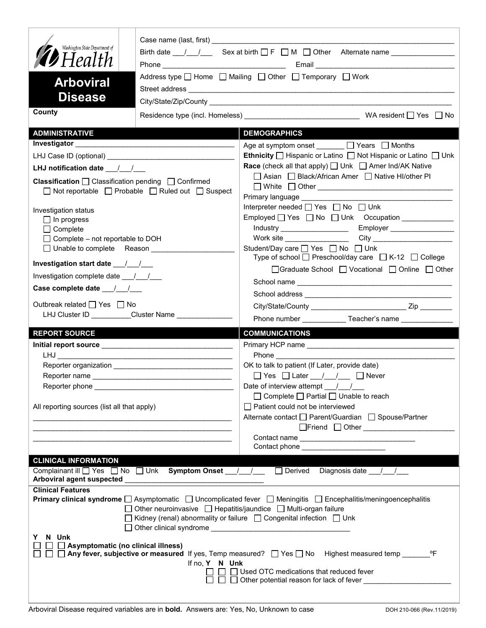| Washington State Department of<br>Birth date $\frac{1}{\sqrt{2}}$ Sex at birth $\Box$ F $\Box$ M $\Box$ Other Alternate name $\Box$<br>$\mathcal{D}$ Health<br>Address type $\Box$ Home $\Box$ Mailing $\Box$ Other $\Box$ Temporary $\Box$ Work<br><b>Arboviral</b>                             |                                                     |                                                                                                                                           |  |  |
|--------------------------------------------------------------------------------------------------------------------------------------------------------------------------------------------------------------------------------------------------------------------------------------------------|-----------------------------------------------------|-------------------------------------------------------------------------------------------------------------------------------------------|--|--|
| <b>Disease</b>                                                                                                                                                                                                                                                                                   |                                                     |                                                                                                                                           |  |  |
| County                                                                                                                                                                                                                                                                                           |                                                     |                                                                                                                                           |  |  |
|                                                                                                                                                                                                                                                                                                  |                                                     |                                                                                                                                           |  |  |
| <b>ADMINISTRATIVE</b>                                                                                                                                                                                                                                                                            |                                                     | <b>DEMOGRAPHICS</b>                                                                                                                       |  |  |
|                                                                                                                                                                                                                                                                                                  |                                                     | Age at symptom onset $\Box$ Years $\Box$ Months                                                                                           |  |  |
|                                                                                                                                                                                                                                                                                                  |                                                     | Ethnicity □ Hispanic or Latino □ Not Hispanic or Latino □ Unk                                                                             |  |  |
| LHJ notification date $\frac{1}{2}$                                                                                                                                                                                                                                                              |                                                     | <b>Race</b> (check all that apply) <u>□</u> Unk □ Amer Ind/AK Native<br>□ Asian □ Black/African Amer □ Native HI/other PI                 |  |  |
| <b>Classification</b> $\Box$ Classification pending $\Box$ Confirmed<br>□ Not reportable □ Probable □ Ruled out □ Suspect                                                                                                                                                                        |                                                     | Primary language <b>Example</b>                                                                                                           |  |  |
| Investigation status                                                                                                                                                                                                                                                                             |                                                     | Interpreter needed [ Yes   No   Unk                                                                                                       |  |  |
| $\Box$ In progress                                                                                                                                                                                                                                                                               |                                                     |                                                                                                                                           |  |  |
| $\Box$ Complete                                                                                                                                                                                                                                                                                  |                                                     | Employer __________________<br>Industry _____________________                                                                             |  |  |
| $\Box$ Complete – not reportable to DOH                                                                                                                                                                                                                                                          |                                                     | Work site __________________                                                                                                              |  |  |
|                                                                                                                                                                                                                                                                                                  |                                                     | Student/Day care <sup>1</sup> Yes <sup>1</sup> No <sup>1</sup> Unk<br>Type of school $\Box$ Preschool/day care $\Box$ K-12 $\Box$ College |  |  |
| Investigation start date ____/____/                                                                                                                                                                                                                                                              |                                                     | □Graduate School □ Vocational □ Online □ Other                                                                                            |  |  |
| Investigation complete date __/__/__                                                                                                                                                                                                                                                             |                                                     |                                                                                                                                           |  |  |
| Case complete date __/_/__/                                                                                                                                                                                                                                                                      |                                                     |                                                                                                                                           |  |  |
| Outbreak related □ Yes □ No                                                                                                                                                                                                                                                                      |                                                     |                                                                                                                                           |  |  |
|                                                                                                                                                                                                                                                                                                  | LHJ Cluster ID _________Cluster Name ______________ | Phone number ______________Teacher's name _______________                                                                                 |  |  |
| <b>REPORT SOURCE</b>                                                                                                                                                                                                                                                                             |                                                     | <b>COMMUNICATIONS</b>                                                                                                                     |  |  |
|                                                                                                                                                                                                                                                                                                  |                                                     |                                                                                                                                           |  |  |
|                                                                                                                                                                                                                                                                                                  |                                                     | Phone that the contract of the contract of the contract of the contract of the contract of the contract of the                            |  |  |
|                                                                                                                                                                                                                                                                                                  |                                                     | OK to talk to patient (If Later, provide date)                                                                                            |  |  |
|                                                                                                                                                                                                                                                                                                  |                                                     | $\Box$ Yes $\Box$ Later $\Box$ / $\Box$ Never                                                                                             |  |  |
|                                                                                                                                                                                                                                                                                                  |                                                     | Date of interview attempt $\frac{1}{\sqrt{2}}$                                                                                            |  |  |
|                                                                                                                                                                                                                                                                                                  |                                                     | $\Box$ Complete $\Box$ Partial $\Box$ Unable to reach                                                                                     |  |  |
| All reporting sources (list all that apply)                                                                                                                                                                                                                                                      |                                                     | $\Box$ Patient could not be interviewed                                                                                                   |  |  |
|                                                                                                                                                                                                                                                                                                  |                                                     | Alternate contact □ Parent/Guardian □ Spouse/Partner<br>□Friend □ Other <u>______________________</u>                                     |  |  |
|                                                                                                                                                                                                                                                                                                  |                                                     |                                                                                                                                           |  |  |
|                                                                                                                                                                                                                                                                                                  |                                                     | Contact phone _______________________                                                                                                     |  |  |
| <b>CLINICAL INFORMATION</b>                                                                                                                                                                                                                                                                      |                                                     |                                                                                                                                           |  |  |
|                                                                                                                                                                                                                                                                                                  |                                                     | Complainant ill Ves No Unk Symptom Onset _/ / Derived Diagnosis date / /                                                                  |  |  |
| <b>Clinical Features</b>                                                                                                                                                                                                                                                                         |                                                     |                                                                                                                                           |  |  |
| <b>Primary clinical syndrome</b> $\Box$ Asymptomatic $\Box$ Uncomplicated fever $\Box$ Meningitis $\Box$ Encephalitis/meningoencephalitis<br>□ Other neuroinvasive □ Hepatitis/jaundice □ Multi-organ failure<br>□ Kidney (renal) abnormality or failure □ Congenital infection □ Unk<br>Y N Unk |                                                     |                                                                                                                                           |  |  |
| $\Box$ Asymptomatic (no clinical illness)<br>If no, Y N Unk<br>$\Box$ $\Box$ Used OTC medications that reduced fever<br>□ □ □ Other potential reason for lack of fever ___________________                                                                                                       |                                                     |                                                                                                                                           |  |  |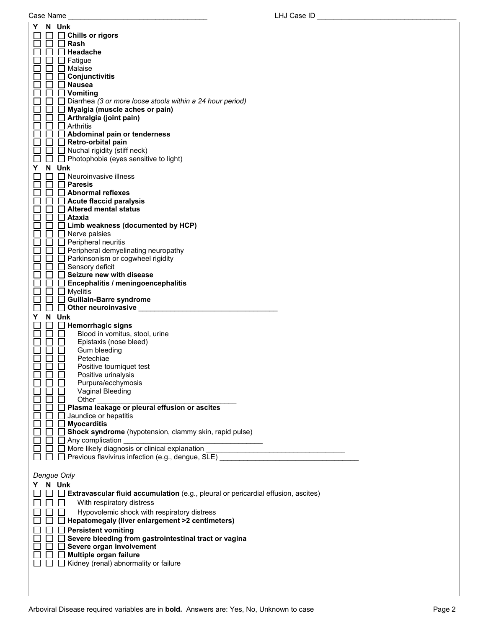| Y<br>N Unk                                                                               |  |
|------------------------------------------------------------------------------------------|--|
| <b>Chills or rigors</b>                                                                  |  |
| Rash                                                                                     |  |
| Headache                                                                                 |  |
| _l Fatigue<br>I Malaise                                                                  |  |
| Conjunctivitis                                                                           |  |
| <b>Nausea</b>                                                                            |  |
| $\Box$ Vomiting                                                                          |  |
| $\Box$ Diarrhea (3 or more loose stools within a 24 hour period)                         |  |
| $\Box$ Myalgia (muscle aches or pain)                                                    |  |
| <b>∆Arthralgia (joint pain)</b>                                                          |  |
| l Arthritis                                                                              |  |
| $\Box$ Abdominal pain or tenderness                                                      |  |
| $\Box$ Retro-orbital pain                                                                |  |
| $\Box$ Nuchal rigidity (stiff neck)                                                      |  |
| $\Box$ Photophobia (eyes sensitive to light)                                             |  |
| Y<br>N Unk<br>l Neuroinvasive illness                                                    |  |
| <b>Paresis</b>                                                                           |  |
| Abnormal reflexes                                                                        |  |
| Acute flaccid paralysis                                                                  |  |
| $\Box$ Altered mental status                                                             |  |
| l Ataxia                                                                                 |  |
| $\Box$ Limb weakness (documented by HCP)                                                 |  |
| $\Box$ Nerve palsies                                                                     |  |
| $\Box$ Peripheral neuritis                                                               |  |
| $\Box$ Peripheral demyelinating neuropathy                                               |  |
| $\Box$ Parkinsonism or cogwheel rigidity                                                 |  |
| Sensory deficit                                                                          |  |
| Seizure new with disease                                                                 |  |
| $\Box$ Encephalitis / meningoencephalitis                                                |  |
| $\Box$ Myelitis<br>$\mathbf{1}$<br><b>Guillain-Barre syndrome</b>                        |  |
|                                                                                          |  |
|                                                                                          |  |
| $\Box$ Other neuroinvasive                                                               |  |
| Y<br>N Unk                                                                               |  |
| <b>Hemorrhagic signs</b>                                                                 |  |
| Blood in vomitus, stool, urine                                                           |  |
| Epistaxis (nose bleed)<br>Gum bleeding                                                   |  |
| Petechiae                                                                                |  |
| Positive tourniquet test                                                                 |  |
| Positive urinalysis                                                                      |  |
| Purpura/ecchymosis                                                                       |  |
| Vaginal Bleeding                                                                         |  |
| Other                                                                                    |  |
| Plasma leakage or pleural effusion or ascites                                            |  |
| Jaundice or hepatitis                                                                    |  |
| <b>Myocarditis</b>                                                                       |  |
| Shock syndrome (hypotension, clammy skin, rapid pulse)                                   |  |
| $\Box$ Any complication                                                                  |  |
| More likely diagnosis or clinical explanation __________________________________         |  |
| □ Previous flavivirus infection (e.g., dengue, SLE)                                      |  |
|                                                                                          |  |
| Dengue Only                                                                              |  |
| N Unk                                                                                    |  |
| $\Box$ Extravascular fluid accumulation (e.g., pleural or pericardial effusion, ascites) |  |
| With respiratory distress<br>$\perp$                                                     |  |
| Hypovolemic shock with respiratory distress                                              |  |
| $\Box$ Hepatomegaly (liver enlargement >2 centimeters)                                   |  |
| <b>Persistent vomiting</b>                                                               |  |
| Severe bleeding from gastrointestinal tract or vagina                                    |  |
| Severe organ involvement                                                                 |  |
| Multiple organ failure                                                                   |  |
| Kidney (renal) abnormality or failure                                                    |  |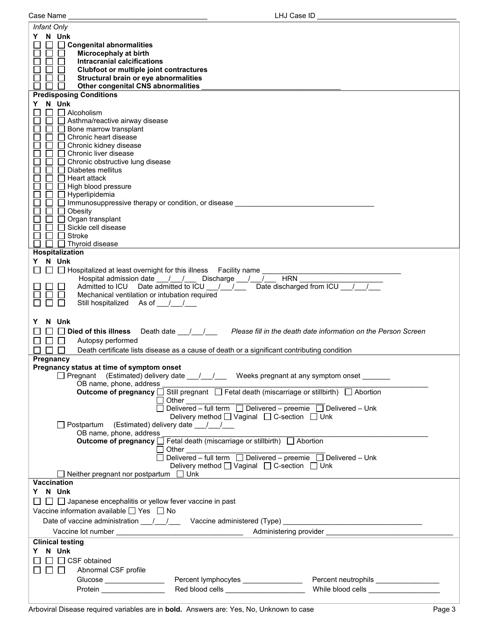| LHJ Case ID<br>Case Name                                                                              |                                       |  |  |  |
|-------------------------------------------------------------------------------------------------------|---------------------------------------|--|--|--|
| Infant Only                                                                                           |                                       |  |  |  |
| N Unk<br>Y.                                                                                           |                                       |  |  |  |
| □ Congenital abnormalities                                                                            |                                       |  |  |  |
| Microcephaly at birth                                                                                 |                                       |  |  |  |
| <b>Intracranial calcifications</b>                                                                    |                                       |  |  |  |
| Clubfoot or multiple joint contractures                                                               |                                       |  |  |  |
| Structural brain or eye abnormalities                                                                 |                                       |  |  |  |
| Other congenital CNS abnormalities                                                                    |                                       |  |  |  |
| <b>Predisposing Conditions</b>                                                                        |                                       |  |  |  |
| N Unk<br>Y.                                                                                           |                                       |  |  |  |
| $\Box$ Alcoholism                                                                                     |                                       |  |  |  |
| □ Asthma/reactive airway disease                                                                      |                                       |  |  |  |
| Bone marrow transplant                                                                                |                                       |  |  |  |
| Chronic heart disease                                                                                 |                                       |  |  |  |
| Chronic kidney disease                                                                                |                                       |  |  |  |
| Chronic liver disease                                                                                 |                                       |  |  |  |
| Chronic obstructive lung disease                                                                      |                                       |  |  |  |
| Diabetes mellitus                                                                                     |                                       |  |  |  |
| $\mathbf{L}$<br>Heart attack                                                                          |                                       |  |  |  |
| High blood pressure                                                                                   |                                       |  |  |  |
| Hyperlipidemia                                                                                        |                                       |  |  |  |
| Immunosuppressive therapy or condition, or disease                                                    |                                       |  |  |  |
| Obesity                                                                                               |                                       |  |  |  |
| Organ transplant                                                                                      |                                       |  |  |  |
| Sickle cell disease                                                                                   |                                       |  |  |  |
| Stroke                                                                                                |                                       |  |  |  |
| Thyroid disease                                                                                       |                                       |  |  |  |
| <b>Hospitalization</b>                                                                                |                                       |  |  |  |
| N Unk<br>Y.                                                                                           |                                       |  |  |  |
| $\Box~\Box$ Hospitalized at least overnight for this illness $~\,$ Facility name $\_$                 |                                       |  |  |  |
| Hospital admission date __/__/___ Discharge __/__/___ HRN                                             |                                       |  |  |  |
| Admitted to ICU Date admitted to ICU / /                                                              | Date discharged from ICU / /          |  |  |  |
| Mechanical ventilation or intubation required                                                         |                                       |  |  |  |
| Still hospitalized As of / /                                                                          |                                       |  |  |  |
|                                                                                                       |                                       |  |  |  |
| N Unk<br>Y                                                                                            |                                       |  |  |  |
| Died of this illness<br>Death date 1.1 Please fill in the death date information on the Person Screen |                                       |  |  |  |
| Autopsy performed                                                                                     |                                       |  |  |  |
| Death certificate lists disease as a cause of death or a significant contributing condition           |                                       |  |  |  |
| Pregnancy                                                                                             |                                       |  |  |  |
| Pregnancy status at time of symptom onset                                                             |                                       |  |  |  |
| □ Pregnant (Estimated) delivery date __/__/___ Weeks pregnant at any symptom onset ______             |                                       |  |  |  |
| OB name, phone, address                                                                               |                                       |  |  |  |
| Outcome of pregnancy <u>Still</u> pregnant □ Fetal death (miscarriage or stillbirth) □ Abortion       |                                       |  |  |  |
| Other                                                                                                 |                                       |  |  |  |
|                                                                                                       |                                       |  |  |  |
| Delivery method <u>U</u> Vaginal □ C-section □ Unk                                                    |                                       |  |  |  |
| □ Postpartum (Estimated) delivery date ___/___/___                                                    |                                       |  |  |  |
| OB name, phone, address                                                                               |                                       |  |  |  |
| Outcome of pregnancy Fetal death (miscarriage or stillbirth) Abortion                                 |                                       |  |  |  |
| Other<br>$\mathsf{L}$                                                                                 |                                       |  |  |  |
| Delivered – full term $\Box$ Delivered – preemie $\Box$ Delivered – Unk                               |                                       |  |  |  |
| Delivery method [ Vaginal [ C-section [ Unk                                                           |                                       |  |  |  |
| Neither pregnant nor postpartum $\Box$ Unk                                                            |                                       |  |  |  |
| <b>Vaccination</b>                                                                                    |                                       |  |  |  |
| Y N Unk                                                                                               |                                       |  |  |  |
| $\Box$ $\Box$ Japanese encephalitis or yellow fever vaccine in past                                   |                                       |  |  |  |
| Vaccine information available $\Box$ Yes $\Box$ No                                                    |                                       |  |  |  |
|                                                                                                       |                                       |  |  |  |
|                                                                                                       |                                       |  |  |  |
|                                                                                                       |                                       |  |  |  |
| <b>Clinical testing</b>                                                                               |                                       |  |  |  |
| Y N Unk                                                                                               |                                       |  |  |  |
| $\Box$ $\Box$ CSF obtained                                                                            |                                       |  |  |  |
| $\Box$<br>Abnormal CSF profile                                                                        |                                       |  |  |  |
| Percent lymphocytes ________________                                                                  | Percent neutrophils _________________ |  |  |  |
| Glucose ________________                                                                              | While blood cells __________________  |  |  |  |
| Red blood cells _______________________<br>Protein ________________                                   |                                       |  |  |  |

I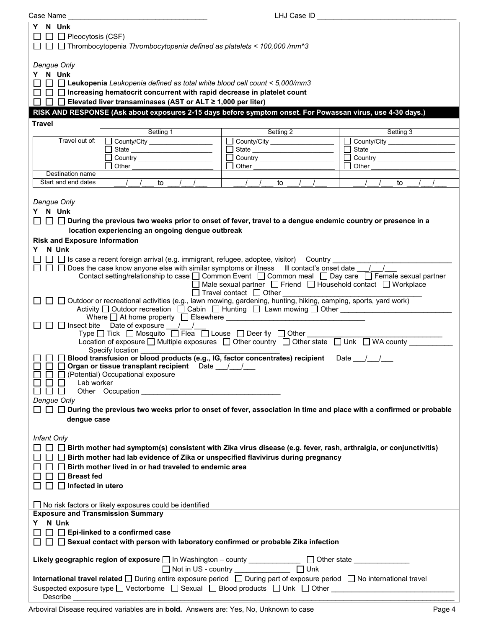| Case Name                                                                                                                                                                                                                                                                                                                                                                                                                                                                                                                                                                                                                                                                                                                                                                                                                                                                                                                                                                                                                                                                                                                                                                                                                                                                                                                                                                                                                                                                                                                                                                                 |                                                                                                                                                                                                                               | LHJ Case ID                                                                                                                                                                                                                    |                                                                                                                                                                                                                               |  |  |
|-------------------------------------------------------------------------------------------------------------------------------------------------------------------------------------------------------------------------------------------------------------------------------------------------------------------------------------------------------------------------------------------------------------------------------------------------------------------------------------------------------------------------------------------------------------------------------------------------------------------------------------------------------------------------------------------------------------------------------------------------------------------------------------------------------------------------------------------------------------------------------------------------------------------------------------------------------------------------------------------------------------------------------------------------------------------------------------------------------------------------------------------------------------------------------------------------------------------------------------------------------------------------------------------------------------------------------------------------------------------------------------------------------------------------------------------------------------------------------------------------------------------------------------------------------------------------------------------|-------------------------------------------------------------------------------------------------------------------------------------------------------------------------------------------------------------------------------|--------------------------------------------------------------------------------------------------------------------------------------------------------------------------------------------------------------------------------|-------------------------------------------------------------------------------------------------------------------------------------------------------------------------------------------------------------------------------|--|--|
| N Unk<br>Y.<br>$\Box$ Pleocytosis (CSF)<br>$\Box$ Thrombocytopenia Thrombocytopenia defined as platelets < 100,000 /mm^3                                                                                                                                                                                                                                                                                                                                                                                                                                                                                                                                                                                                                                                                                                                                                                                                                                                                                                                                                                                                                                                                                                                                                                                                                                                                                                                                                                                                                                                                  |                                                                                                                                                                                                                               |                                                                                                                                                                                                                                |                                                                                                                                                                                                                               |  |  |
| Dengue Only<br>Y N Unk<br>$\Box$ $\Box$ Leukopenia Leukopenia defined as total white blood cell count < 5,000/mm3<br>□ □ □ Increasing hematocrit concurrent with rapid decrease in platelet count<br>□ □ Elevated liver transaminases (AST or ALT ≥ 1,000 per liter)<br>$\perp$<br>RISK AND RESPONSE (Ask about exposures 2-15 days before symptom onset. For Powassan virus, use 4-30 days.)                                                                                                                                                                                                                                                                                                                                                                                                                                                                                                                                                                                                                                                                                                                                                                                                                                                                                                                                                                                                                                                                                                                                                                                             |                                                                                                                                                                                                                               |                                                                                                                                                                                                                                |                                                                                                                                                                                                                               |  |  |
| <b>Travel</b>                                                                                                                                                                                                                                                                                                                                                                                                                                                                                                                                                                                                                                                                                                                                                                                                                                                                                                                                                                                                                                                                                                                                                                                                                                                                                                                                                                                                                                                                                                                                                                             |                                                                                                                                                                                                                               |                                                                                                                                                                                                                                |                                                                                                                                                                                                                               |  |  |
|                                                                                                                                                                                                                                                                                                                                                                                                                                                                                                                                                                                                                                                                                                                                                                                                                                                                                                                                                                                                                                                                                                                                                                                                                                                                                                                                                                                                                                                                                                                                                                                           | Setting 1                                                                                                                                                                                                                     | Setting 2                                                                                                                                                                                                                      | Setting 3                                                                                                                                                                                                                     |  |  |
| Travel out of:                                                                                                                                                                                                                                                                                                                                                                                                                                                                                                                                                                                                                                                                                                                                                                                                                                                                                                                                                                                                                                                                                                                                                                                                                                                                                                                                                                                                                                                                                                                                                                            | $\Box$ County/City __________________                                                                                                                                                                                         | County/City ___________________                                                                                                                                                                                                | County/City<br>$\blacksquare$                                                                                                                                                                                                 |  |  |
|                                                                                                                                                                                                                                                                                                                                                                                                                                                                                                                                                                                                                                                                                                                                                                                                                                                                                                                                                                                                                                                                                                                                                                                                                                                                                                                                                                                                                                                                                                                                                                                           | State _________________________                                                                                                                                                                                               |                                                                                                                                                                                                                                | $\Box$                                                                                                                                                                                                                        |  |  |
|                                                                                                                                                                                                                                                                                                                                                                                                                                                                                                                                                                                                                                                                                                                                                                                                                                                                                                                                                                                                                                                                                                                                                                                                                                                                                                                                                                                                                                                                                                                                                                                           |                                                                                                                                                                                                                               | Country __________________                                                                                                                                                                                                     |                                                                                                                                                                                                                               |  |  |
|                                                                                                                                                                                                                                                                                                                                                                                                                                                                                                                                                                                                                                                                                                                                                                                                                                                                                                                                                                                                                                                                                                                                                                                                                                                                                                                                                                                                                                                                                                                                                                                           | Other and the contract of the contract of the contract of the contract of the contract of the contract of the contract of the contract of the contract of the contract of the contract of the contract of the contract of the | Other and the control of the control of the control of the control of the control of the control of the control of the control of the control of the control of the control of the control of the control of the control of th | Other and the contract of the contract of the contract of the contract of the contract of the contract of the contract of the contract of the contract of the contract of the contract of the contract of the contract of the |  |  |
| Destination name                                                                                                                                                                                                                                                                                                                                                                                                                                                                                                                                                                                                                                                                                                                                                                                                                                                                                                                                                                                                                                                                                                                                                                                                                                                                                                                                                                                                                                                                                                                                                                          |                                                                                                                                                                                                                               |                                                                                                                                                                                                                                |                                                                                                                                                                                                                               |  |  |
| Start and end dates                                                                                                                                                                                                                                                                                                                                                                                                                                                                                                                                                                                                                                                                                                                                                                                                                                                                                                                                                                                                                                                                                                                                                                                                                                                                                                                                                                                                                                                                                                                                                                       | $\frac{1}{2}$<br>$\frac{1}{2}$ to $\frac{1}{2}$<br>$\sqrt{ }$                                                                                                                                                                 | $\frac{1}{2}$<br>$\sqrt{2}$<br>$\prime$<br>to $\overline{\phantom{a}}$                                                                                                                                                         | $\sqrt{ }$<br>$\sqrt{ }$<br>to                                                                                                                                                                                                |  |  |
| Dengue Only<br>Y N Unk<br>$\Box~\Box~\Box$ During the previous two weeks prior to onset of fever, travel to a dengue endemic country or presence in a<br>location experiencing an ongoing dengue outbreak<br><b>Risk and Exposure Information</b>                                                                                                                                                                                                                                                                                                                                                                                                                                                                                                                                                                                                                                                                                                                                                                                                                                                                                                                                                                                                                                                                                                                                                                                                                                                                                                                                         |                                                                                                                                                                                                                               |                                                                                                                                                                                                                                |                                                                                                                                                                                                                               |  |  |
| Y N Unk<br>$\Box$ Is case a recent foreign arrival (e.g. immigrant, refugee, adoptee, visitor) Country<br>$\Box$ $\Box$ Does the case know anyone else with similar symptoms or illness III contact's onset date $\Box$<br>Contact setting/relationship to case □ Common Event □ Common meal □ Day care □ Female sexual partner<br>$\Box$ Male sexual partner $\Box$ Friend $\Box$ Household contact $\Box$ Workplace<br>$\Box$ Travel contact $\Box$ Other<br>□ Outdoor or recreational activities (e.g., lawn mowing, gardening, hunting, hiking, camping, sports, yard work)<br>Activity □ Outdoor recreation □ Cabin □ Hunting □ Lawn mowing □ Other _________________<br>□ Insect bite Date of exposure <u>/ /</u><br>Type $\Box$ Tick $\Box$ Mosquito $\overline{\Box}$ Flea $\overline{\Box}$ Louse $\Box$ Deer fly $\Box$ Other<br>Location of exposure □ Multiple exposures □ Other country □ Other state □ Unk □ WA county<br>Specify location<br>Blood transfusion or blood products (e.g., IG, factor concentrates) recipient Date 11<br>$\Box$<br>Organ or tissue transplant recipient Date __/_/<br>(Potential) Occupational exposure<br>Lab worker<br>Other Occupation Construction Construction Construction Construction Construction Construction Construction Construction Construction Construction Construction Construction Construction Construction Construction Constructi<br>$\mathbf{L}$<br>Dengue Only<br>□ □ During the previous two weeks prior to onset of fever, association in time and place with a confirmed or probable<br>dengue case<br>Infant Only |                                                                                                                                                                                                                               |                                                                                                                                                                                                                                |                                                                                                                                                                                                                               |  |  |
| $\Box$ Birth mother had symptom(s) consistent with Zika virus disease (e.g. fever, rash, arthralgia, or conjunctivitis)<br>$\Box$ Birth mother had lab evidence of Zika or unspecified flavivirus during pregnancy<br>□ Birth mother lived in or had traveled to endemic area<br>$\Box$ Breast fed<br>$\Box$ Infected in utero                                                                                                                                                                                                                                                                                                                                                                                                                                                                                                                                                                                                                                                                                                                                                                                                                                                                                                                                                                                                                                                                                                                                                                                                                                                            |                                                                                                                                                                                                                               |                                                                                                                                                                                                                                |                                                                                                                                                                                                                               |  |  |
|                                                                                                                                                                                                                                                                                                                                                                                                                                                                                                                                                                                                                                                                                                                                                                                                                                                                                                                                                                                                                                                                                                                                                                                                                                                                                                                                                                                                                                                                                                                                                                                           | $\Box$ No risk factors or likely exposures could be identified                                                                                                                                                                |                                                                                                                                                                                                                                |                                                                                                                                                                                                                               |  |  |
| <b>Exposure and Transmission Summary</b>                                                                                                                                                                                                                                                                                                                                                                                                                                                                                                                                                                                                                                                                                                                                                                                                                                                                                                                                                                                                                                                                                                                                                                                                                                                                                                                                                                                                                                                                                                                                                  |                                                                                                                                                                                                                               |                                                                                                                                                                                                                                |                                                                                                                                                                                                                               |  |  |
| Y N Unk                                                                                                                                                                                                                                                                                                                                                                                                                                                                                                                                                                                                                                                                                                                                                                                                                                                                                                                                                                                                                                                                                                                                                                                                                                                                                                                                                                                                                                                                                                                                                                                   |                                                                                                                                                                                                                               |                                                                                                                                                                                                                                |                                                                                                                                                                                                                               |  |  |
|                                                                                                                                                                                                                                                                                                                                                                                                                                                                                                                                                                                                                                                                                                                                                                                                                                                                                                                                                                                                                                                                                                                                                                                                                                                                                                                                                                                                                                                                                                                                                                                           | $\Box$ Epi-linked to a confirmed case                                                                                                                                                                                         |                                                                                                                                                                                                                                |                                                                                                                                                                                                                               |  |  |
| $\Box$ Sexual contact with person with laboratory confirmed or probable Zika infection                                                                                                                                                                                                                                                                                                                                                                                                                                                                                                                                                                                                                                                                                                                                                                                                                                                                                                                                                                                                                                                                                                                                                                                                                                                                                                                                                                                                                                                                                                    |                                                                                                                                                                                                                               |                                                                                                                                                                                                                                |                                                                                                                                                                                                                               |  |  |
| Likely geographic region of exposure and Washington - county _____________<br>□ Other state _______________                                                                                                                                                                                                                                                                                                                                                                                                                                                                                                                                                                                                                                                                                                                                                                                                                                                                                                                                                                                                                                                                                                                                                                                                                                                                                                                                                                                                                                                                               |                                                                                                                                                                                                                               |                                                                                                                                                                                                                                |                                                                                                                                                                                                                               |  |  |
| <b>International travel related</b> □ During entire exposure period □ During part of exposure period □ No international travel                                                                                                                                                                                                                                                                                                                                                                                                                                                                                                                                                                                                                                                                                                                                                                                                                                                                                                                                                                                                                                                                                                                                                                                                                                                                                                                                                                                                                                                            |                                                                                                                                                                                                                               |                                                                                                                                                                                                                                |                                                                                                                                                                                                                               |  |  |
| Suspected exposure type $\square$ Vectorborne $\square$ Sexual $\square$ Blood products $\square$ Unk $\square$ Other                                                                                                                                                                                                                                                                                                                                                                                                                                                                                                                                                                                                                                                                                                                                                                                                                                                                                                                                                                                                                                                                                                                                                                                                                                                                                                                                                                                                                                                                     |                                                                                                                                                                                                                               |                                                                                                                                                                                                                                |                                                                                                                                                                                                                               |  |  |
| Describe                                                                                                                                                                                                                                                                                                                                                                                                                                                                                                                                                                                                                                                                                                                                                                                                                                                                                                                                                                                                                                                                                                                                                                                                                                                                                                                                                                                                                                                                                                                                                                                  |                                                                                                                                                                                                                               |                                                                                                                                                                                                                                |                                                                                                                                                                                                                               |  |  |